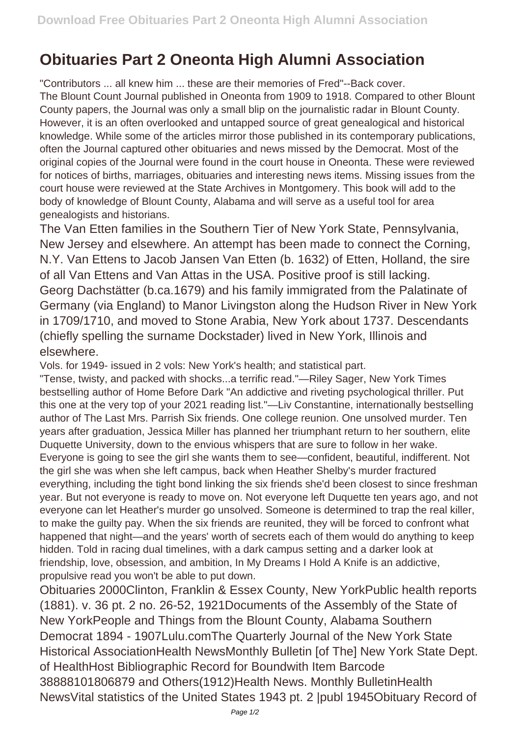## **Obituaries Part 2 Oneonta High Alumni Association**

"Contributors ... all knew him ... these are their memories of Fred"--Back cover. The Blount Count Journal published in Oneonta from 1909 to 1918. Compared to other Blount County papers, the Journal was only a small blip on the journalistic radar in Blount County. However, it is an often overlooked and untapped source of great genealogical and historical knowledge. While some of the articles mirror those published in its contemporary publications, often the Journal captured other obituaries and news missed by the Democrat. Most of the original copies of the Journal were found in the court house in Oneonta. These were reviewed for notices of births, marriages, obituaries and interesting news items. Missing issues from the court house were reviewed at the State Archives in Montgomery. This book will add to the body of knowledge of Blount County, Alabama and will serve as a useful tool for area genealogists and historians.

The Van Etten families in the Southern Tier of New York State, Pennsylvania, New Jersey and elsewhere. An attempt has been made to connect the Corning, N.Y. Van Ettens to Jacob Jansen Van Etten (b. 1632) of Etten, Holland, the sire of all Van Ettens and Van Attas in the USA. Positive proof is still lacking. Georg Dachstätter (b.ca.1679) and his family immigrated from the Palatinate of Germany (via England) to Manor Livingston along the Hudson River in New York in 1709/1710, and moved to Stone Arabia, New York about 1737. Descendants (chiefly spelling the surname Dockstader) lived in New York, Illinois and elsewhere.

Vols. for 1949- issued in 2 vols: New York's health; and statistical part.

"Tense, twisty, and packed with shocks...a terrific read."—Riley Sager, New York Times bestselling author of Home Before Dark "An addictive and riveting psychological thriller. Put this one at the very top of your 2021 reading list."—Liv Constantine, internationally bestselling author of The Last Mrs. Parrish Six friends. One college reunion. One unsolved murder. Ten years after graduation, Jessica Miller has planned her triumphant return to her southern, elite Duquette University, down to the envious whispers that are sure to follow in her wake. Everyone is going to see the girl she wants them to see—confident, beautiful, indifferent. Not the girl she was when she left campus, back when Heather Shelby's murder fractured everything, including the tight bond linking the six friends she'd been closest to since freshman year. But not everyone is ready to move on. Not everyone left Duquette ten years ago, and not everyone can let Heather's murder go unsolved. Someone is determined to trap the real killer, to make the guilty pay. When the six friends are reunited, they will be forced to confront what happened that night—and the years' worth of secrets each of them would do anything to keep hidden. Told in racing dual timelines, with a dark campus setting and a darker look at friendship, love, obsession, and ambition, In My Dreams I Hold A Knife is an addictive, propulsive read you won't be able to put down.

Obituaries 2000Clinton, Franklin & Essex County, New YorkPublic health reports (1881). v. 36 pt. 2 no. 26-52, 1921Documents of the Assembly of the State of New YorkPeople and Things from the Blount County, Alabama Southern Democrat 1894 - 1907Lulu.comThe Quarterly Journal of the New York State Historical AssociationHealth NewsMonthly Bulletin [of The] New York State Dept. of HealthHost Bibliographic Record for Boundwith Item Barcode 38888101806879 and Others(1912)Health News. Monthly BulletinHealth NewsVital statistics of the United States 1943 pt. 2 |publ 1945Obituary Record of